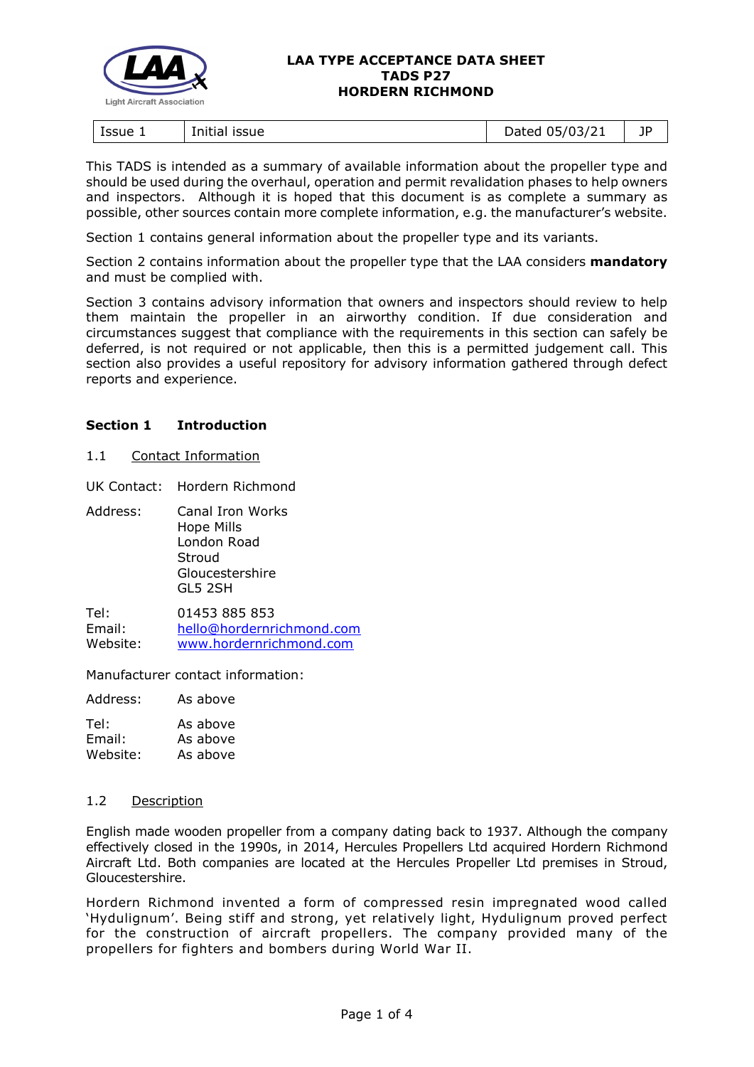

#### **LAA TYPE ACCEPTANCE DATA SHEET TADS P27 HORDERN RICHMOND**

| Issue 1<br>issue<br>Initial | 05/03/21<br>Dated | ПD<br><u>.</u> |
|-----------------------------|-------------------|----------------|
|-----------------------------|-------------------|----------------|

This TADS is intended as a summary of available information about the propeller type and should be used during the overhaul, operation and permit revalidation phases to help owners and inspectors. Although it is hoped that this document is as complete a summary as possible, other sources contain more complete information, e.g. the manufacturer's website.

Section 1 contains general information about the propeller type and its variants.

Section 2 contains information about the propeller type that the LAA considers **mandatory** and must be complied with.

Section 3 contains advisory information that owners and inspectors should review to help them maintain the propeller in an airworthy condition. If due consideration and circumstances suggest that compliance with the requirements in this section can safely be deferred, is not required or not applicable, then this is a permitted judgement call. This section also provides a useful repository for advisory information gathered through defect reports and experience.

#### **Section 1 Introduction**

1.1 Contact Information

UK Contact: Hordern Richmond

Address: Canal Iron Works Hope Mills London Road Stroud Gloucestershire GL5 2SH

Tel: 01453 885 853 Email: [hello@hordernrichmond.com](mailto:hello@hordernrichmond.com) Website: [www.hordernrichmond.com](https://www.hordernrichmond.com/)

Manufacturer contact information:

Address: As above

| Tel:     | As above |
|----------|----------|
| Email:   | As above |
| Website: | As above |

#### 1.2 Description

English made wooden propeller from a company dating back to 1937. Although the company effectively closed in the 1990s, in 2014, Hercules Propellers Ltd acquired Hordern Richmond Aircraft Ltd. Both companies are located at the Hercules Propeller Ltd premises in Stroud, Gloucestershire.

Hordern Richmond invented a form of compressed resin impregnated wood called 'Hydulignum'. Being stiff and strong, yet relatively light, Hydulignum proved perfect for the construction of aircraft propellers. The company provided many of the propellers for fighters and bombers during World War II.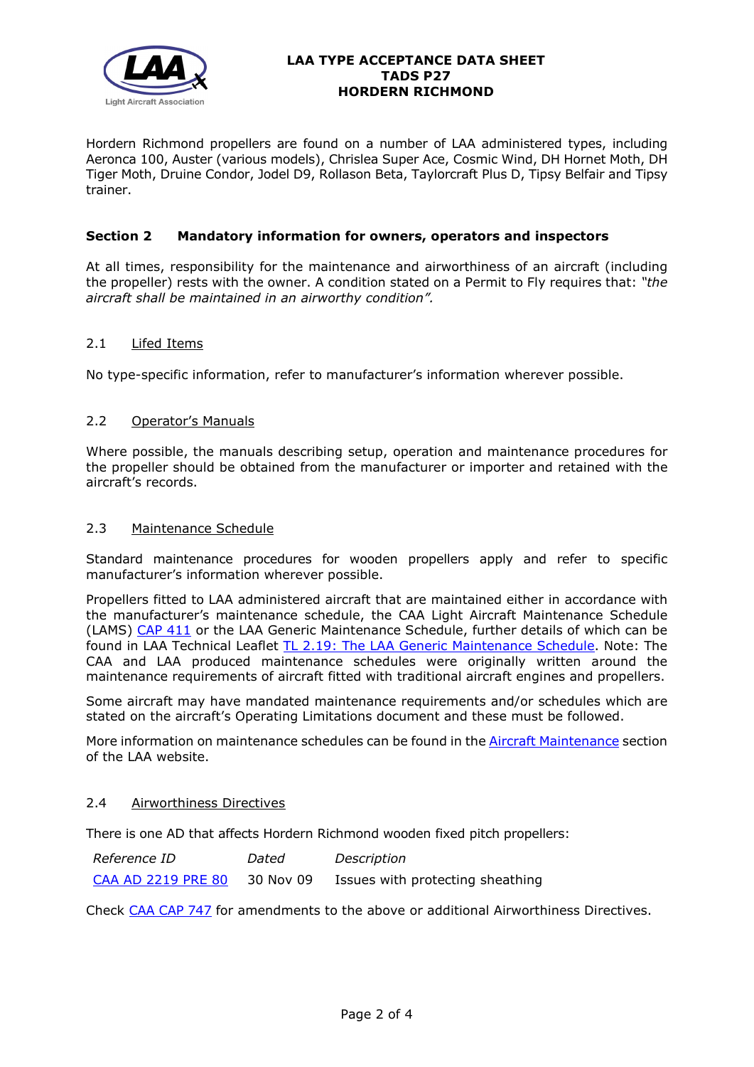

#### **LAA TYPE ACCEPTANCE DATA SHEET TADS P27 HORDERN RICHMOND**

Hordern Richmond propellers are found on a number of LAA administered types, including Aeronca 100, Auster (various models), Chrislea Super Ace, Cosmic Wind, DH Hornet Moth, DH Tiger Moth, Druine Condor, Jodel D9, Rollason Beta, Taylorcraft Plus D, Tipsy Belfair and Tipsy trainer.

## **Section 2 Mandatory information for owners, operators and inspectors**

At all times, responsibility for the maintenance and airworthiness of an aircraft (including the propeller) rests with the owner. A condition stated on a Permit to Fly requires that: *"the aircraft shall be maintained in an airworthy condition".* 

#### 2.1 Lifed Items

No type-specific information, refer to manufacturer's information wherever possible.

# 2.2 Operator's Manuals

Where possible, the manuals describing setup, operation and maintenance procedures for the propeller should be obtained from the manufacturer or importer and retained with the aircraft's records.

#### 2.3 Maintenance Schedule

Standard maintenance procedures for wooden propellers apply and refer to specific manufacturer's information wherever possible.

Propellers fitted to LAA administered aircraft that are maintained either in accordance with the manufacturer's maintenance schedule, the CAA Light Aircraft Maintenance Schedule (LAMS) [CAP 411](http://www.caa.co.uk/CAP411) or the LAA Generic Maintenance Schedule, further details of which can be found in LAA Technical Leaflet [TL 2.19: The LAA Generic Maintenance Schedule.](http://www.lightaircraftassociation.co.uk/engineering/TechnicalLeaflets/Operating%20An%20Aircraft/TL%202.19%20The%20LAA%20Generic%20Maintenance%20Schedule.pdf) Note: The CAA and LAA produced maintenance schedules were originally written around the maintenance requirements of aircraft fitted with traditional aircraft engines and propellers.

Some aircraft may have mandated maintenance requirements and/or schedules which are stated on the aircraft's Operating Limitations document and these must be followed.

More information on maintenance schedules can be found in the **Aircraft Maintenance** section of the LAA website.

#### 2.4 Airworthiness Directives

There is one AD that affects Hordern Richmond wooden fixed pitch propellers:

| <i>Reference ID</i>       | Dated     | Description                      |
|---------------------------|-----------|----------------------------------|
| <b>CAA AD 2219 PRE 80</b> | 30 Nov 09 | Issues with protecting sheathing |

Check [CAA CAP 747](http://www.caa.co.uk/cap747) for amendments to the above or additional Airworthiness Directives.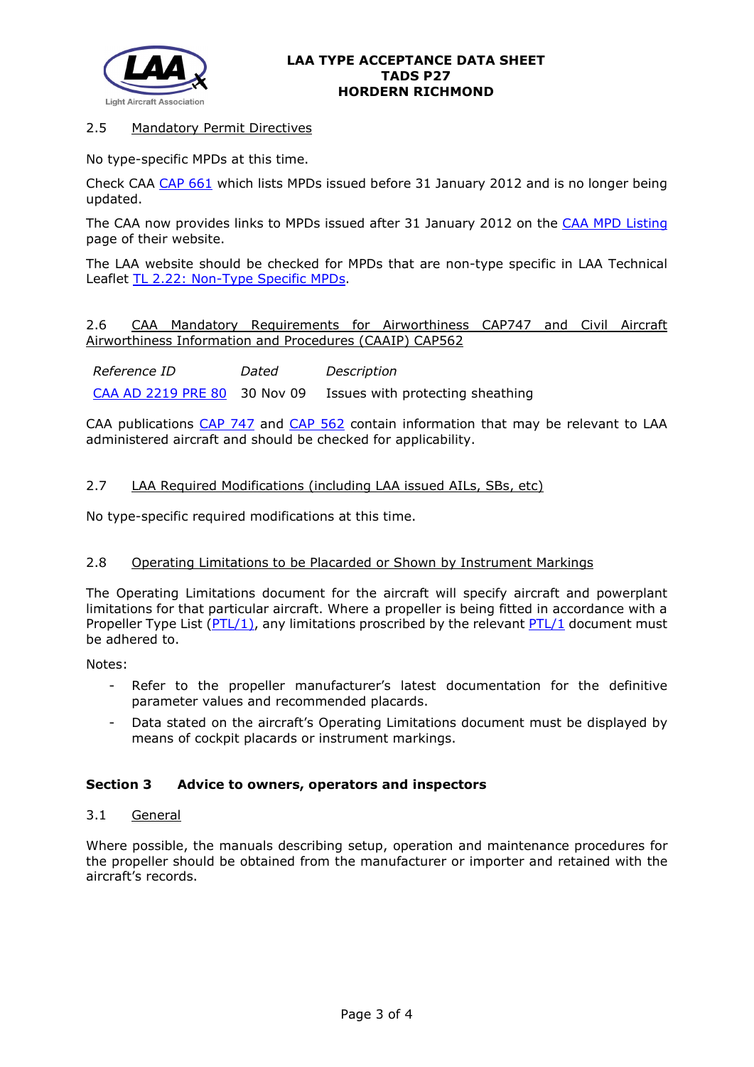

## 2.5 Mandatory Permit Directives

No type-specific MPDs at this time.

Check CAA [CAP 661](http://www.caa.co.uk/cap661) which lists MPDs issued before 31 January 2012 and is no longer being updated.

The CAA now provides links to MPDs issued after 31 January 2012 on the [CAA MPD Listing](http://publicapps.caa.co.uk/modalapplication.aspx?appid=11&mode=list&type=sercat&id=55) page of their website.

The LAA website should be checked for MPDs that are non-type specific in LAA Technical Leaflet [TL 2.22: Non-Type Specific MPDs.](http://www.lightaircraftassociation.co.uk/engineering/TechnicalLeaflets/Operating%20An%20Aircraft/TL%202.22%20non-type%20specific%20MPDs.pdf)

2.6 CAA Mandatory Requirements for Airworthiness CAP747 and Civil Aircraft Airworthiness Information and Procedures (CAAIP) CAP562

*Reference ID Dated Description* [CAA AD 2219 PRE 80](http://www.lightaircraftassociation.co.uk/engineering/TADs/P27/CAA%20AD%202219%20Pre%2080.pdf) 30 Nov 09 Issues with protecting sheathing

CAA publications [CAP 747](http://www.caa.co.uk/CAP747) and [CAP 562](http://www.caa.co.uk/CAP562) contain information that may be relevant to LAA administered aircraft and should be checked for applicability.

# 2.7 LAA Required Modifications (including LAA issued AILs, SBs, etc)

No type-specific required modifications at this time.

#### 2.8 Operating Limitations to be Placarded or Shown by Instrument Markings

The Operating Limitations document for the aircraft will specify aircraft and powerplant limitations for that particular aircraft. Where a propeller is being fitted in accordance with a Propeller Type List  $(PTL/1)$ , any limitations proscribed by the relevant  $PTL/1$  document must be adhered to.

Notes:

- Refer to the propeller manufacturer's latest documentation for the definitive parameter values and recommended placards.
- Data stated on the aircraft's Operating Limitations document must be displayed by means of cockpit placards or instrument markings.

#### **Section 3 Advice to owners, operators and inspectors**

#### 3.1 General

Where possible, the manuals describing setup, operation and maintenance procedures for the propeller should be obtained from the manufacturer or importer and retained with the aircraft's records.